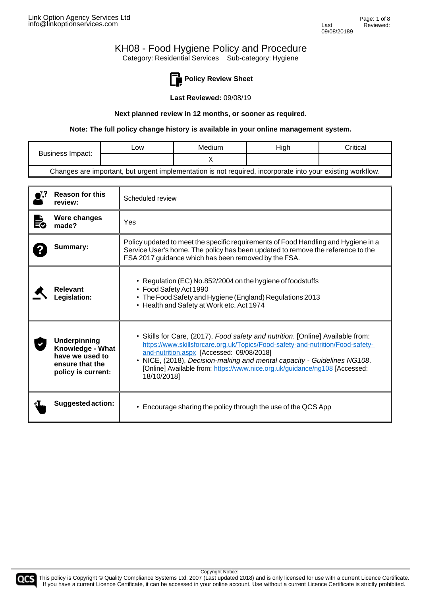Category: Residential Services Sub-category: Hygiene



### **Policy Review Sheet**

**Last Reviewed:** 09/08/19

#### **Next planned review in 12 months, or sooner as required.**

**Note: The full policy change history is available in your online management system.**

| Business Impact:                                                                                           | ∟ow | <b>Medium</b> | High | Critical |
|------------------------------------------------------------------------------------------------------------|-----|---------------|------|----------|
|                                                                                                            |     |               |      |          |
| Changes are important, but urgent implementation is not required, incorporate into your existing workflow. |     |               |      |          |

| $\mathbf{F}_2$ | <b>Reason for this</b><br>review:                                                                   | Scheduled review                                                                                                                                                                                                                                                                                                                                                                      |  |
|----------------|-----------------------------------------------------------------------------------------------------|---------------------------------------------------------------------------------------------------------------------------------------------------------------------------------------------------------------------------------------------------------------------------------------------------------------------------------------------------------------------------------------|--|
| È.             | <b>Were changes</b><br>made?                                                                        | Yes                                                                                                                                                                                                                                                                                                                                                                                   |  |
|                | Summary:                                                                                            | Policy updated to meet the specific requirements of Food Handling and Hygiene in a<br>Service User's home. The policy has been updated to remove the reference to the<br>FSA 2017 guidance which has been removed by the FSA.                                                                                                                                                         |  |
|                | <b>Relevant</b><br><b>Legislation:</b>                                                              | • Regulation (EC) No.852/2004 on the hygiene of foodstuffs<br>• Food Safety Act 1990<br>• The Food Safety and Hygiene (England) Regulations 2013<br>• Health and Safety at Work etc. Act 1974                                                                                                                                                                                         |  |
|                | <b>Underpinning</b><br>Knowledge - What<br>have we used to<br>ensure that the<br>policy is current: | • Skills for Care, (2017), Food safety and nutrition. [Online] Available from:<br>https://www.skillsforcare.org.uk/Topics/Food-safety-and-nutrition/Food-safety-<br>and-nutrition.aspx [Accessed: 09/08/2018]<br>• NICE, (2018), Decision-making and mental capacity - Guidelines NG108.<br>[Online] Available from: https://www.nice.org.uk/guidance/ng108 [Accessed:<br>18/10/2018] |  |
|                | <b>Suggested action:</b>                                                                            | • Encourage sharing the policy through the use of the QCS App                                                                                                                                                                                                                                                                                                                         |  |



This policy is Copyright © Quality Compliance Systems Ltd. 2007 (Last updated 2018) and is only licensed for use with a current Licence Certificate. If you have a current Licence Certificate, it can be accessed in your online account. Use without a current Licence Certificate is strictly prohibited.

Copyright Notice: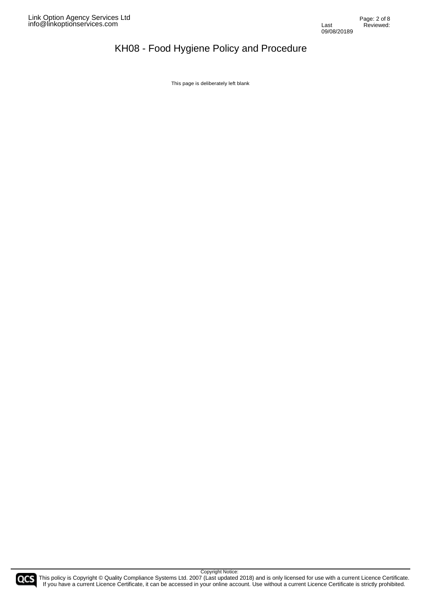This page is deliberately left blank



Copyright Notice: COCS This policy is Copyright © Quality Compliance Systems Ltd. 2007 (Last updated 2018) and is only licensed for use with a current Licence Certificate. If you have a current Licence Certificate, it can be accessed in your online account. Use without a current Licence Certificate is strictly prohibited.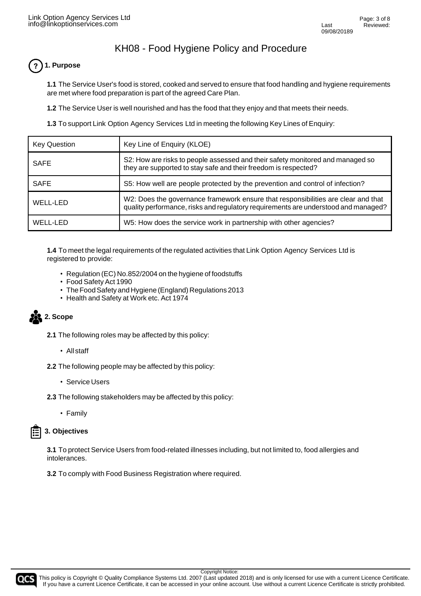# **1. Purpose**

**1.1** The Service User's food is stored, cooked and served to ensure that food handling and hygiene requirements are met where food preparation is part of the agreed Care Plan.

**1.2** The Service User is well nourished and has the food that they enjoy and that meets their needs.

**1.3** To support Link Option Agency Services Ltd in meeting the following Key Lines of Enquiry:

| <b>Key Question</b> | Key Line of Enquiry (KLOE)                                                                                                                                              |  |
|---------------------|-------------------------------------------------------------------------------------------------------------------------------------------------------------------------|--|
| <b>SAFE</b>         | S2: How are risks to people assessed and their safety monitored and managed so<br>they are supported to stay safe and their freedom is respected?                       |  |
| <b>SAFE</b>         | S5: How well are people protected by the prevention and control of infection?                                                                                           |  |
| WELL-LED            | W2: Does the governance framework ensure that responsibilities are clear and that<br>quality performance, risks and regulatory requirements are understood and managed? |  |
| WELL-LED            | W5: How does the service work in partnership with other agencies?                                                                                                       |  |

**1.4** To meet the legal requirements of the regulated activities that Link Option Agency Services Ltd is registered to provide:

- Regulation (EC) No.852/2004 on the hygiene of foodstuffs
- Food Safety Act 1990
- TheFoodSafety and Hygiene (England) Regulations 2013
- Health and Safety at Work etc. Act 1974

## **2. Scope**

**2.1** The following roles may be affected by this policy:

- All staff
- **2.2** The following people may be affected by this policy:
	- Service Users
- **2.3** The following stakeholders may be affected by this policy:
	- Family

### **3. Objectives**

**3.1** To protect Service Users from food-related illnesses including, but not limited to, food allergies and intolerances.

**3.2** To comply with Food Business Registration where required.

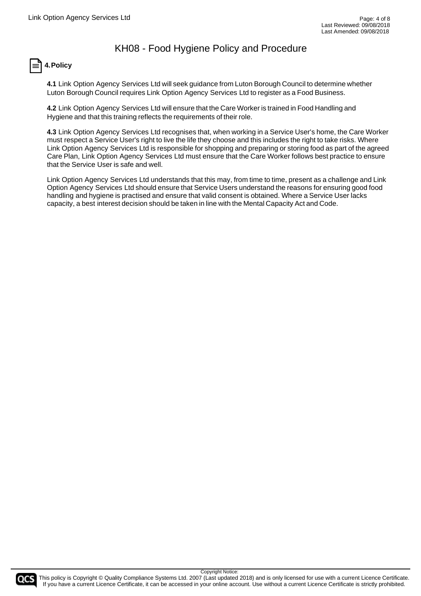### **4.Policy**

**4.1** Link Option Agency Services Ltd will seek guidance from Luton Borough Council to determine whether Luton Borough Council requires Link Option Agency Services Ltd to register as a Food Business.

**4.2** Link Option Agency Services Ltd will ensure that the Care Worker is trained in Food Handling and Hygiene and that this training reflects the requirements of their role.

**4.3** Link Option Agency Services Ltd recognises that, when working in a Service User's home, the Care Worker must respect a Service User's right to live the life they choose and this includes the right to take risks. Where Link Option Agency Services Ltd is responsible for shopping and preparing or storing food as part of the agreed Care Plan, Link Option Agency Services Ltd must ensure that the Care Worker follows best practice to ensure that the Service User is safe and well.

Link Option Agency Services Ltd understands that this may, from time to time, present as a challenge and Link Option Agency Services Ltd should ensure that Service Users understand the reasons for ensuring good food handling and hygiene is practised and ensure that valid consent is obtained. Where a Service User lacks capacity, a best interest decision should be taken in line with the Mental Capacity Act and Code.



Copyright Notice: This policy is Copyright © Quality Compliance Systems Ltd. 2007 (Last updated 2018) and is only licensed for use with a current Licence Certificate. If you have a current Licence Certificate, it can be accessed in your online account. Use without a current Licence Certificate is strictly prohibited.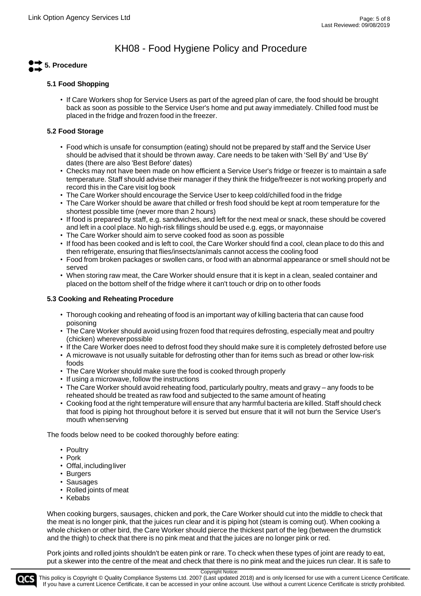## **5. Procedure**

#### **5.1 Food Shopping**

• If Care Workers shop for Service Users as part of the agreed plan of care, the food should be brought back as soon as possible to the Service User's home and put away immediately. Chilled food must be placed in the fridge and frozen food in the freezer.

#### **5.2 Food Storage**

- Food which is unsafe for consumption (eating) should not be prepared by staff and the Service User should be advised that it should be thrown away. Care needs to be taken with 'Sell By' and 'Use By' dates (there are also 'Best Before' dates)
- Checks may not have been made on how efficient a Service User's fridge or freezer is to maintain a safe temperature. Staff should advise their manager if they think the fridge/freezer is not working properly and record this in the Care visit log book
- The Care Worker should encourage the Service User to keep cold/chilled food in the fridge
- The Care Worker should be aware that chilled or fresh food should be kept at room temperature for the shortest possible time (never more than 2 hours)
- If food is prepared by staff, e.g. sandwiches, and left for the next meal or snack, these should be covered and left in a cool place. No high-risk fillings should be used e.g. eggs, or mayonnaise
- The Care Worker should aim to serve cooked food as soon as possible
- If food has been cooked and is left to cool, the Care Worker should find a cool, clean place to do this and then refrigerate, ensuring that flies/insects/animals cannot access the cooling food
- Food from broken packages or swollen cans, or food with an abnormal appearance or smell should not be served
- When storing raw meat, the Care Worker should ensure that it is kept in a clean, sealed container and placed on the bottom shelf of the fridge where it can't touch or drip on to other foods

#### **5.3 Cooking and Reheating Procedure**

- Thorough cooking and reheating of food is an important way of killing bacteria that can cause food poisoning
- The Care Worker should avoid using frozen food that requires defrosting, especially meat and poultry (chicken) whereverpossible
- If the Care Worker does need to defrost food they should make sure it is completely defrosted before use
- A microwave is not usually suitable for defrosting other than for items such as bread or other low-risk
- foods • The Care Worker should make sure the food is cooked through properly
- If using a microwave, follow the instructions
- The Care Worker should avoid reheating food, particularly poultry, meats and gravy any foods to be reheated should be treated as raw food and subjected to the same amount of heating
- Cooking food at the right temperature will ensure that any harmful bacteria are killed. Staff should check that food is piping hot throughout before it is served but ensure that it will not burn the Service User's mouth whenserving

The foods below need to be cooked thoroughly before eating:

- Poultry
- Pork
- Offal, including liver
- Burgers
- Sausages
- Rolled joints of meat
- Kebabs

When cooking burgers, sausages, chicken and pork, the Care Worker should cut into the middle to check that the meat is no longer pink, that the juices run clear and it is piping hot (steam is coming out). When cooking a whole chicken or other bird, the Care Worker should pierce the thickest part of the leg (between the drumstick and the thigh) to check that there is no pink meat and that the juices are no longer pink or red.

Pork joints and rolled joints shouldn't be eaten pink or rare. To check when these types of joint are ready to eat, put a skewer into the centre of the meat and check that there is no pink meat and the juices run clear. It is safe to



This policy is Copyright © Quality Compliance Systems Ltd. 2007 (Last updated 2018) and is only licensed for use with a current Licence Certificate. If you have a current Licence Certificate, it can be accessed in your online account. Use without a current Licence Certificate is strictly prohibited.

Copyright Notice: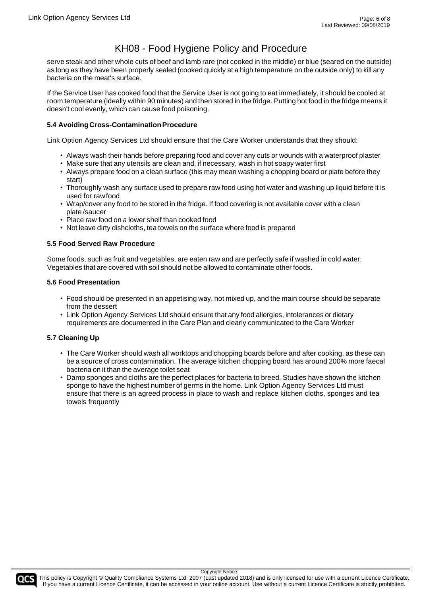serve steak and other whole cuts of beef and lamb rare (not cooked in the middle) or blue (seared on the outside) as long as they have been properly sealed (cooked quickly at a high temperature on the outside only) to kill any bacteria on the meat's surface.

If the Service User has cooked food that the Service User is not going to eat immediately, it should be cooled at room temperature (ideally within 90 minutes) and then stored in the fridge. Putting hot food in the fridge means it doesn't cool evenly, which can cause food poisoning.

#### **5.4 AvoidingCross-ContaminationProcedure**

Link Option Agency Services Ltd should ensure that the Care Worker understands that they should:

- Always wash their hands before preparing food and cover any cuts or wounds with a waterproof plaster
- Make sure that any utensils are clean and, if necessary, wash in hot soapy water first
- Always prepare food on a clean surface (this may mean washing a chopping board or plate before they start)
- Thoroughly wash any surface used to prepare raw food using hot water and washing up liquid before it is used for rawfood
- Wrap/cover any food to be stored in the fridge. If food covering is not available cover with a clean plate /saucer
- Place raw food on a lower shelf than cooked food
- Not leave dirty dishcloths, tea towels on the surface where food is prepared

#### **5.5 Food Served Raw Procedure**

Some foods, such as fruit and vegetables, are eaten raw and are perfectly safe if washed in cold water. Vegetables that are covered with soil should not be allowed to contaminate other foods.

#### **5.6 Food Presentation**

- Food should be presented in an appetising way, not mixed up, and the main course should be separate from the dessert
- Link Option Agency Services Ltd should ensure that any food allergies, intolerances or dietary requirements are documented in the Care Plan and clearly communicated to the Care Worker

#### **5.7 Cleaning Up**

- The Care Worker should wash all worktops and chopping boards before and after cooking, as these can be a source of cross contamination. The average kitchen chopping board has around 200% more faecal bacteria on it than the average toilet seat
- Damp sponges and cloths are the perfect places for bacteria to breed. Studies have shown the kitchen sponge to have the highest number of germs in the home. Link Option Agency Services Ltd must ensure that there is an agreed process in place to wash and replace kitchen cloths, sponges and tea towels frequently



Copyright Notice: This policy is Copyright © Quality Compliance Systems Ltd. 2007 (Last updated 2018) and is only licensed for use with a current Licence Certificate. If you have a current Licence Certificate, it can be accessed in your online account. Use without a current Licence Certificate is strictly prohibited.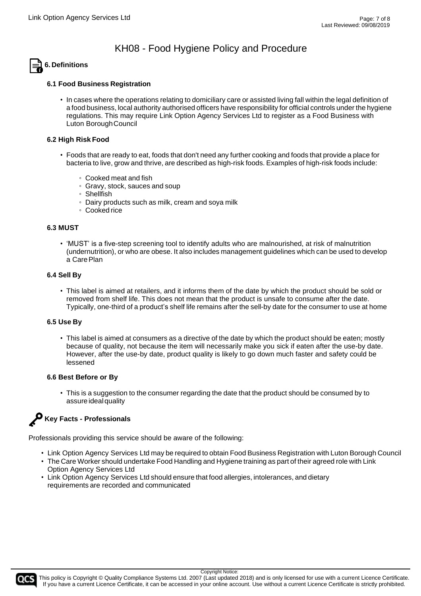### **6. Definitions**

#### **6.1 Food Business Registration**

• In cases where the operations relating to domiciliary care or assisted living fall within the legal definition of a food business, local authority authorised officers have responsibility for official controls under the hygiene regulations. This may require Link Option Agency Services Ltd to register as a Food Business with Luton BoroughCouncil

#### **6.2 High Risk Food**

- Foods that are ready to eat, foods that don't need any further cooking and foods that provide a place for bacteria to live, grow and thrive, are described as high-risk foods. Examples of high-risk foods include:
	- Cooked meat and fish
	- Gravy, stock, sauces and soup
	- Shellfish
	- Dairy products such as milk, cream and soya milk
	- Cooked rice

#### **6.3 MUST**

• 'MUST' is a five-step screening tool to identify adults who are malnourished, at risk of malnutrition (undernutrition), or who are obese. It also includes management guidelines which can be used to develop a Care Plan

#### **6.4 Sell By**

• This label is aimed at retailers, and it informs them of the date by which the product should be sold or removed from shelf life. This does not mean that the product is unsafe to consume after the date. Typically, one-third of a product's shelf life remains after the sell-by date for the consumer to use at home

#### **6.5 Use By**

• This label is aimed at consumers as a directive of the date by which the product should be eaten; mostly because of quality, not because the item will necessarily make you sick if eaten after the use-by date. However, after the use-by date, product quality is likely to go down much faster and safety could be lessened

#### **6.6 Best Before or By**

• This is a suggestion to the consumer regarding the date that the product should be consumed by to assure ideal quality



Professionals providing this service should be aware of the following:

- Link Option Agency Services Ltd may be required to obtain Food Business Registration with Luton Borough Council
- The Care Worker should undertake Food Handling and Hygiene training as part of their agreed role with Link Option Agency Services Ltd
- Link Option Agency Services Ltd should ensure that food allergies, intolerances, and dietary requirements are recorded and communicated